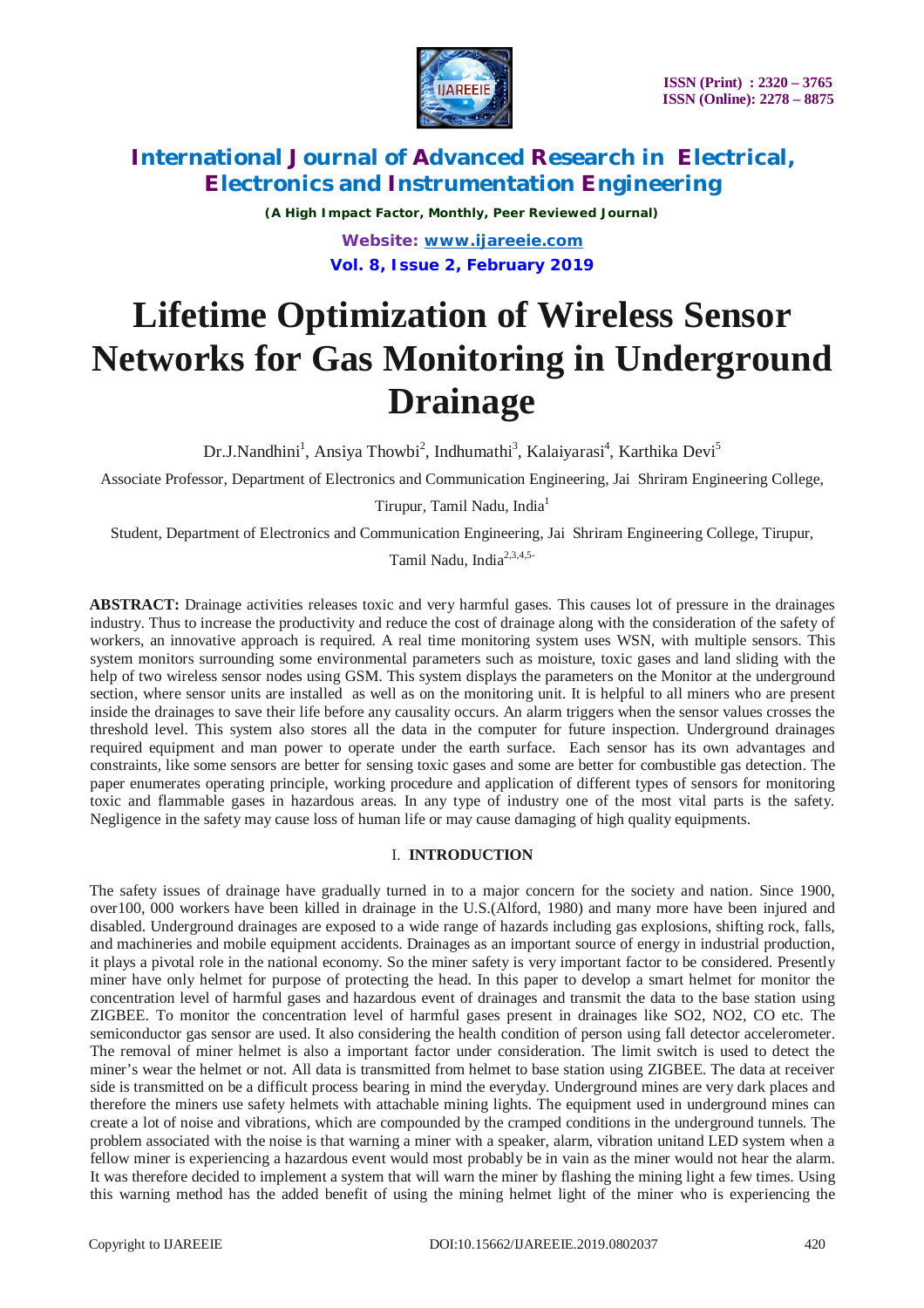

*(A High Impact Factor, Monthly, Peer Reviewed Journal) Website: [www.ijareeie.com](http://www.ijareeie.com)* **Vol. 8, Issue 2, February 2019**

# **Lifetime Optimization of Wireless Sensor Networks for Gas Monitoring in Underground Drainage**

Dr.J.Nandhini<sup>1</sup>, Ansiya Thowbi<sup>2</sup>, Indhumathi<sup>3</sup>, Kalaiyarasi<sup>4</sup>, Karthika Devi<sup>5</sup>

Associate Professor, Department of Electronics and Communication Engineering, Jai Shriram Engineering College,

Tirupur, Tamil Nadu, India<sup>1</sup>

Student, Department of Electronics and Communication Engineering, Jai Shriram Engineering College, Tirupur,

Tamil Nadu, India<sup>2,3,4,5-</sup>

**ABSTRACT:** Drainage activities releases toxic and very harmful gases. This causes lot of pressure in the drainages industry. Thus to increase the productivity and reduce the cost of drainage along with the consideration of the safety of workers, an innovative approach is required. A real time monitoring system uses WSN, with multiple sensors. This system monitors surrounding some environmental parameters such as moisture, toxic gases and land sliding with the help of two wireless sensor nodes using GSM. This system displays the parameters on the Monitor at the underground section, where sensor units are installed as well as on the monitoring unit. It is helpful to all miners who are present inside the drainages to save their life before any causality occurs. An alarm triggers when the sensor values crosses the threshold level. This system also stores all the data in the computer for future inspection. Underground drainages required equipment and man power to operate under the earth surface. Each sensor has its own advantages and constraints, like some sensors are better for sensing toxic gases and some are better for combustible gas detection. The paper enumerates operating principle, working procedure and application of different types of sensors for monitoring toxic and flammable gases in hazardous areas. In any type of industry one of the most vital parts is the safety. Negligence in the safety may cause loss of human life or may cause damaging of high quality equipments.

## I. **INTRODUCTION**

The safety issues of drainage have gradually turned in to a major concern for the society and nation. Since 1900, over100, 000 workers have been killed in drainage in the U.S.(Alford, 1980) and many more have been injured and disabled. Underground drainages are exposed to a wide range of hazards including gas explosions, shifting rock, falls, and machineries and mobile equipment accidents. Drainages as an important source of energy in industrial production, it plays a pivotal role in the national economy. So the miner safety is very important factor to be considered. Presently miner have only helmet for purpose of protecting the head. In this paper to develop a smart helmet for monitor the concentration level of harmful gases and hazardous event of drainages and transmit the data to the base station using ZIGBEE. To monitor the concentration level of harmful gases present in drainages like SO2, NO2, CO etc. The semiconductor gas sensor are used. It also considering the health condition of person using fall detector accelerometer. The removal of miner helmet is also a important factor under consideration. The limit switch is used to detect the miner's wear the helmet or not. All data is transmitted from helmet to base station using ZIGBEE. The data at receiver side is transmitted on be a difficult process bearing in mind the everyday. Underground mines are very dark places and therefore the miners use safety helmets with attachable mining lights. The equipment used in underground mines can create a lot of noise and vibrations, which are compounded by the cramped conditions in the underground tunnels. The problem associated with the noise is that warning a miner with a speaker, alarm, vibration unitand LED system when a fellow miner is experiencing a hazardous event would most probably be in vain as the miner would not hear the alarm. It was therefore decided to implement a system that will warn the miner by flashing the mining light a few times. Using this warning method has the added benefit of using the mining helmet light of the miner who is experiencing the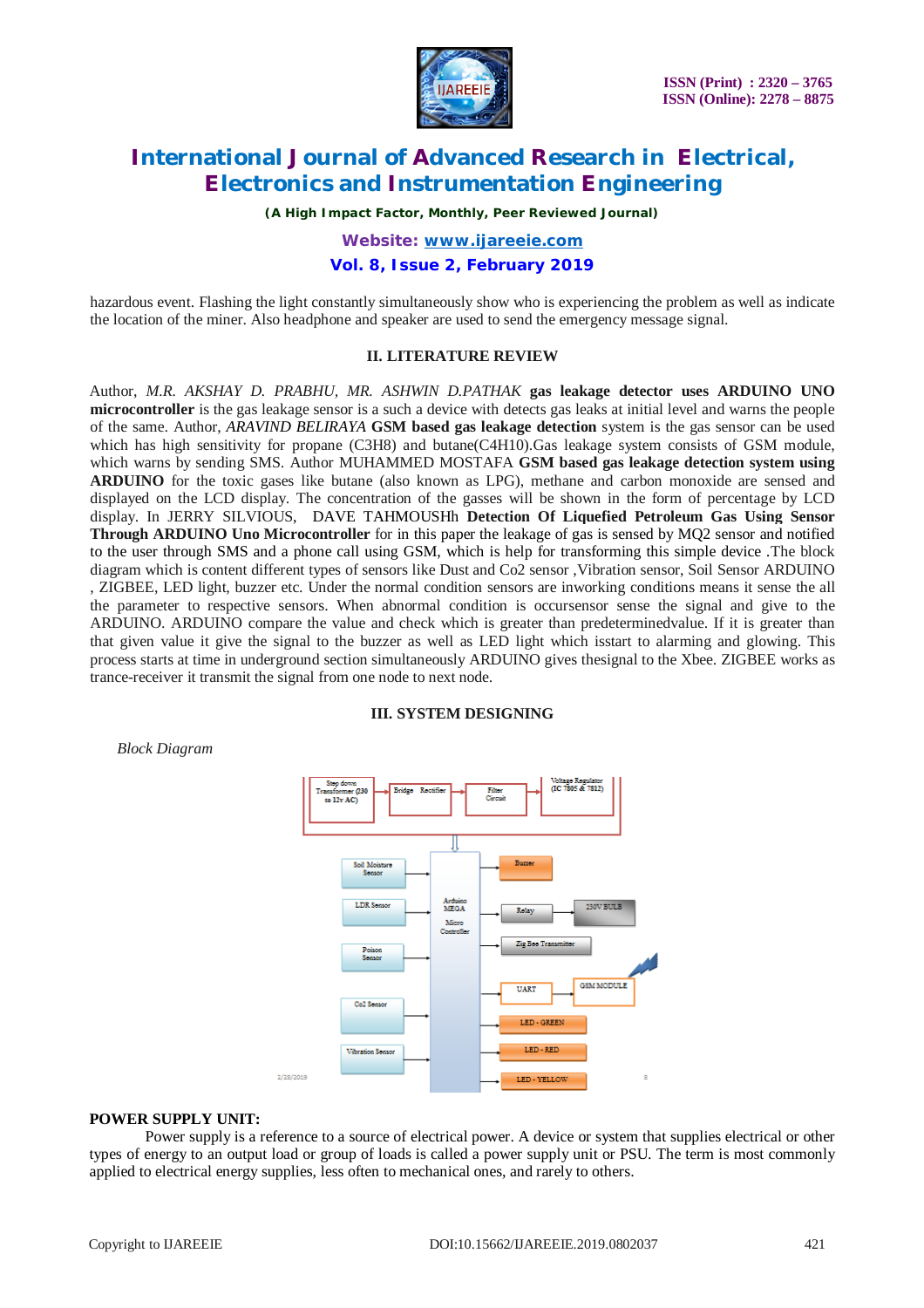

*(A High Impact Factor, Monthly, Peer Reviewed Journal)*

*Website: [www.ijareeie.com](http://www.ijareeie.com)*

### **Vol. 8, Issue 2, February 2019**

hazardous event. Flashing the light constantly simultaneously show who is experiencing the problem as well as indicate the location of the miner. Also headphone and speaker are used to send the emergency message signal.

#### **II. LITERATURE REVIEW**

Author, *M.R. AKSHAY D. PRABHU, MR. ASHWIN D.PATHAK* **gas leakage detector uses ARDUINO UNO microcontroller** is the gas leakage sensor is a such a device with detects gas leaks at initial level and warns the people of the same. Author, *ARAVIND BELIRAYA* **GSM based gas leakage detection** system is the gas sensor can be used which has high sensitivity for propane (C3H8) and butane(C4H10).Gas leakage system consists of GSM module, which warns by sending SMS. Author MUHAMMED MOSTAFA **GSM based gas leakage detection system using ARDUINO** for the toxic gases like butane (also known as LPG), methane and carbon monoxide are sensed and displayed on the LCD display. The concentration of the gasses will be shown in the form of percentage by LCD display. In JERRY SILVIOUS, DAVE TAHMOUSHh **Detection Of Liquefied Petroleum Gas Using Sensor Through ARDUINO Uno Microcontroller** for in this paper the leakage of gas is sensed by MQ2 sensor and notified to the user through SMS and a phone call using GSM, which is help for transforming this simple device *.*The block diagram which is content different types of sensors like Dust and Co2 sensor ,Vibration sensor, Soil Sensor ARDUINO , ZIGBEE, LED light, buzzer etc. Under the normal condition sensors are inworking conditions means it sense the all the parameter to respective sensors. When abnormal condition is occursensor sense the signal and give to the ARDUINO. ARDUINO compare the value and check which is greater than predeterminedvalue. If it is greater than that given value it give the signal to the buzzer as well as LED light which isstart to alarming and glowing. This process starts at time in underground section simultaneously ARDUINO gives thesignal to the Xbee. ZIGBEE works as trance-receiver it transmit the signal from one node to next node.

#### **III. SYSTEM DESIGNING**

*Block Diagram*



#### **POWER SUPPLY UNIT:**

Power supply is a reference to a source of electrical power. A device or system that supplies electrical or other types of energy to an output load or group of loads is called a power supply unit or PSU. The term is most commonly applied to electrical energy supplies, less often to mechanical ones, and rarely to others.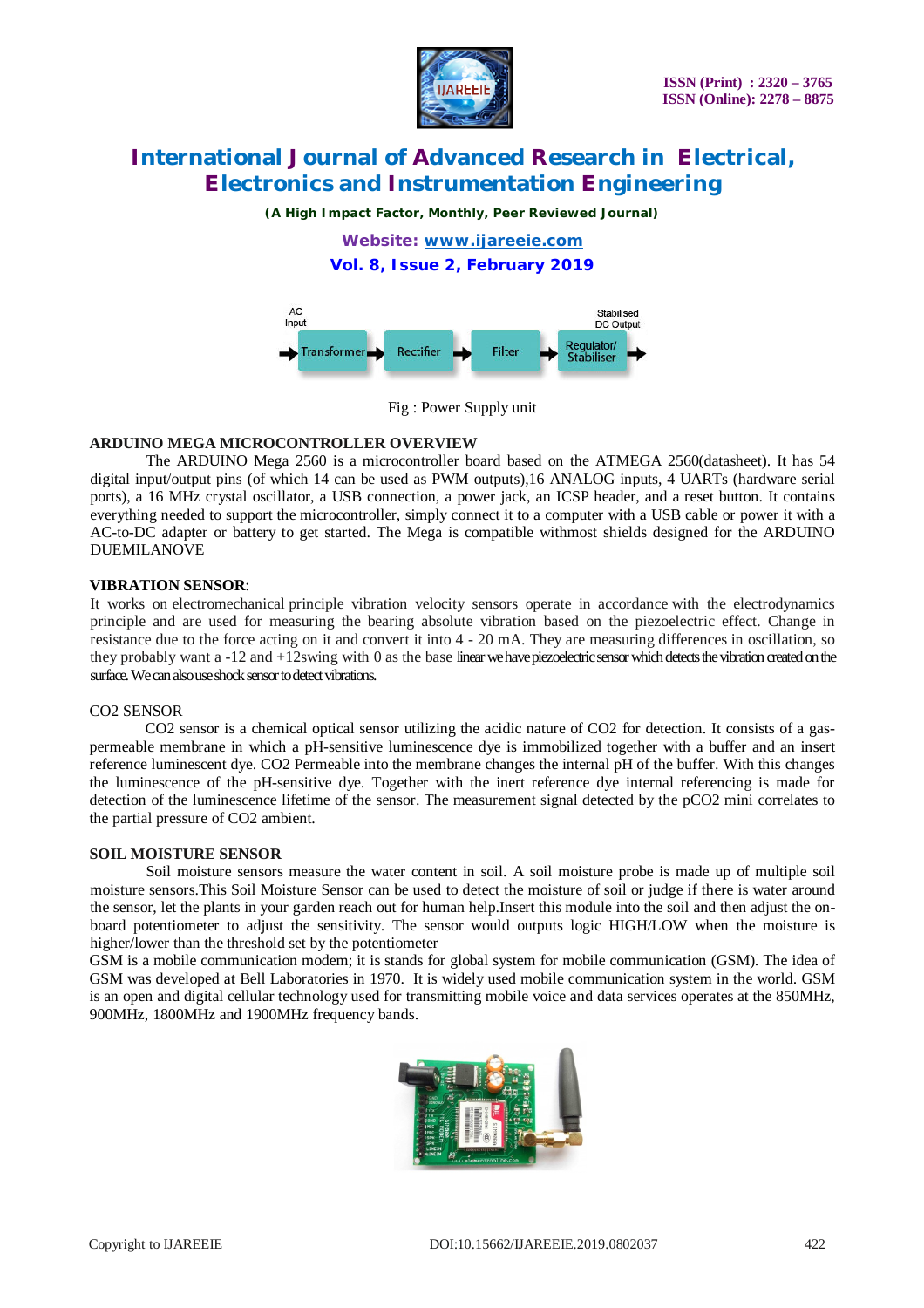

*(A High Impact Factor, Monthly, Peer Reviewed Journal)*

*Website: [www.ijareeie.com](http://www.ijareeie.com)*

## **Vol. 8, Issue 2, February 2019**



Fig : Power Supply unit

### **ARDUINO MEGA MICROCONTROLLER OVERVIEW**

The ARDUINO Mega 2560 is a microcontroller board based on the ATMEGA 2560(datasheet). It has 54 digital input/output pins (of which 14 can be used as PWM outputs),16 ANALOG inputs, 4 UARTs (hardware serial ports), a 16 MHz crystal oscillator, a USB connection, a power jack, an ICSP header, and a reset button. It contains everything needed to support the microcontroller, simply connect it to a computer with a USB cable or power it with a AC-to-DC adapter or battery to get started. The Mega is compatible withmost shields designed for the ARDUINO DUEMILANOVE

### **VIBRATION SENSOR**:

It works on electromechanical principle vibration velocity sensors operate in accordance with the electrodynamics principle and are used for measuring the bearing absolute vibration based on the piezoelectric effect. Change in resistance due to the force acting on it and convert it into 4 - 20 mA. They are measuring differences in oscillation, so they probably want a -12 and +12swing with 0 as the base linearwe have piezoelectric sensor which detects the vibration created on the surface. We can also use shock sensor to detect vibrations.

### CO2 SENSOR

CO2 sensor is a chemical optical sensor utilizing the acidic nature of CO2 for detection. It consists of a gaspermeable membrane in which a pH-sensitive luminescence dye is immobilized together with a buffer and an insert reference luminescent dye. CO2 Permeable into the membrane changes the internal pH of the buffer. With this changes the luminescence of the pH-sensitive dye. Together with the inert reference dye internal referencing is made for detection of the luminescence lifetime of the sensor. The measurement signal detected by the pCO2 mini correlates to the partial pressure of CO2 ambient.

#### **SOIL MOISTURE SENSOR**

Soil moisture sensors measure the water content in soil. A soil moisture probe is made up of multiple soil moisture sensors.This Soil Moisture Sensor can be used to detect the moisture of soil or judge if there is water around the sensor, let the plants in your garden reach out for human help.Insert this module into the soil and then adjust the onboard potentiometer to adjust the sensitivity. The sensor would outputs logic HIGH/LOW when the moisture is higher/lower than the threshold set by the potentiometer

GSM is a mobile communication modem; it is stands for global system for mobile communication (GSM). The idea of GSM was developed at Bell Laboratories in 1970. It is widely used mobile communication system in the world. GSM is an open and digital cellular technology used for transmitting mobile voice and data services operates at the 850MHz, 900MHz, 1800MHz and 1900MHz frequency bands.

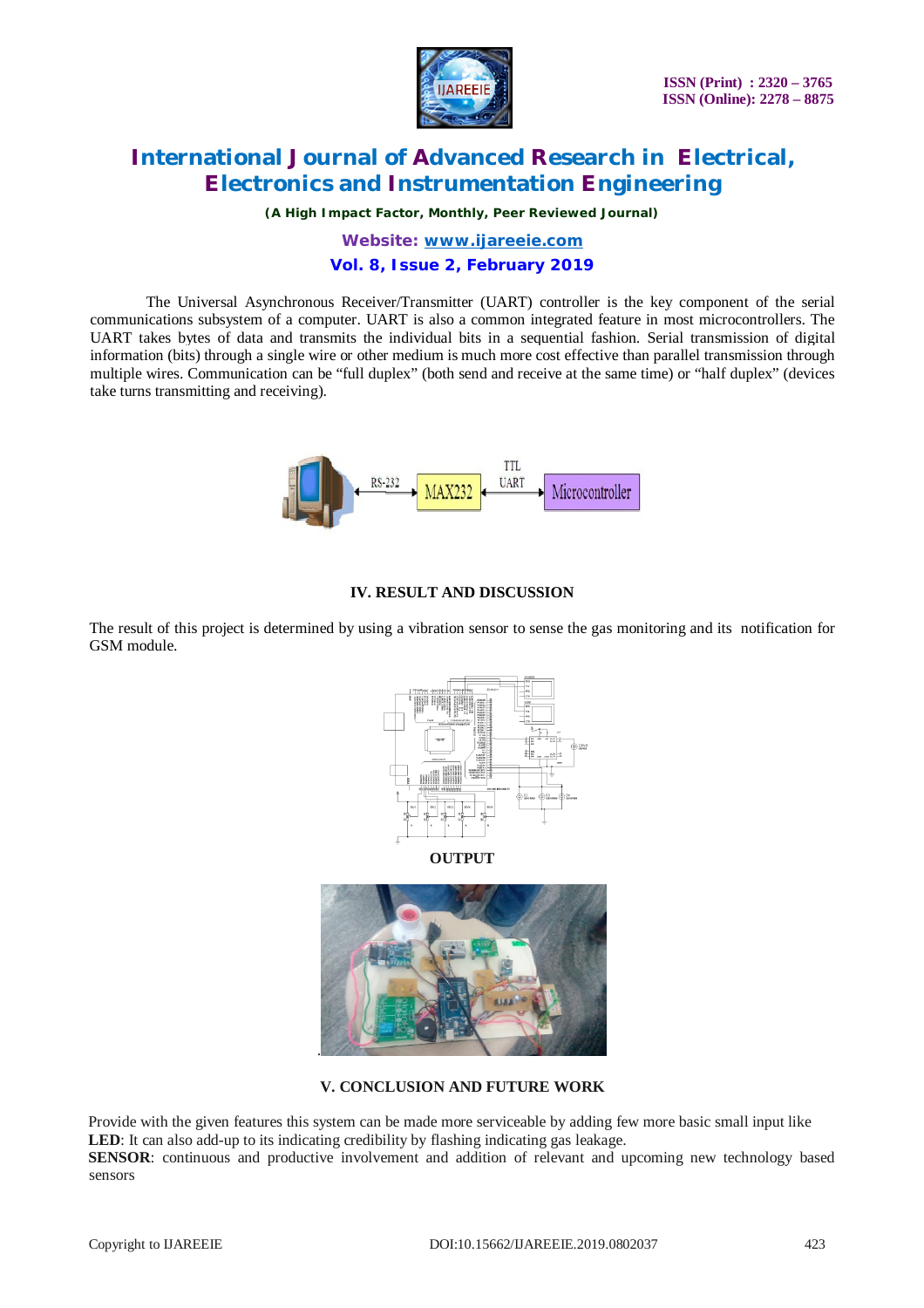

*(A High Impact Factor, Monthly, Peer Reviewed Journal)*

*Website: [www.ijareeie.com](http://www.ijareeie.com)*

## **Vol. 8, Issue 2, February 2019**

The Universal Asynchronous Receiver/Transmitter (UART) controller is the key component of the serial communications subsystem of a computer. UART is also a common integrated feature in most microcontrollers. The UART takes bytes of data and transmits the individual bits in a sequential fashion. Serial transmission of digital information (bits) through a single wire or other medium is much more cost effective than parallel transmission through multiple wires. Communication can be "full duplex" (both send and receive at the same time) or "half duplex" (devices take turns transmitting and receiving).



## **IV. RESULT AND DISCUSSION**

The result of this project is determined by using a vibration sensor to sense the gas monitoring and its notification for GSM module.



**OUTPUT**



### **V. CONCLUSION AND FUTURE WORK**

Provide with the given features this system can be made more serviceable by adding few more basic small input like LED: It can also add-up to its indicating credibility by flashing indicating gas leakage.

**SENSOR**: continuous and productive involvement and addition of relevant and upcoming new technology based sensors